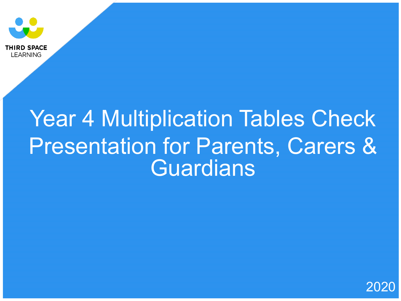

# Year 4 Multiplication Tables Check Presentation for Parents, Carers & **Guardians**

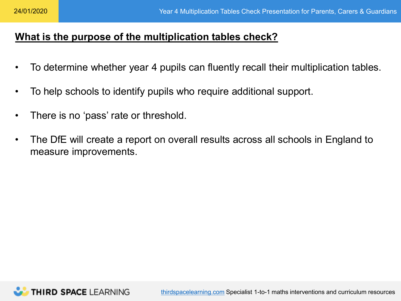# **What is the purpose of the multiplication tables check?**

- To determine whether year 4 pupils can fluently recall their multiplication tables.
- To help schools to identify pupils who require additional support.
- There is no 'pass' rate or threshold.
- The DfE will create a report on overall results across all schools in England to measure improvements.

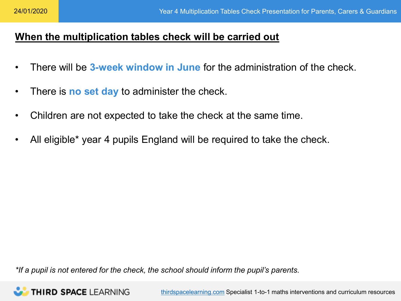# **When the multiplication tables check will be carried out**

- There will be **3-week window in June** for the administration of the check.
- There is **no set day** to administer the check.
- Children are not expected to take the check at the same time.
- All eligible\* year 4 pupils England will be required to take the check.

*\*If a pupil is not entered for the check, the school should inform the pupil's parents.* 

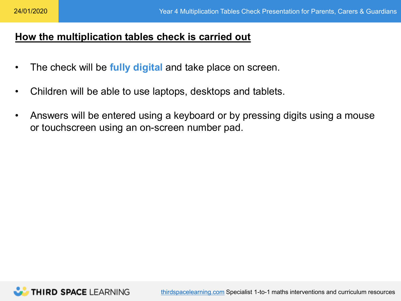#### **How the multiplication tables check is carried out**

- The check will be **fully digital** and take place on screen.
- Children will be able to use laptops, desktops and tablets.
- Answers will be entered using a keyboard or by pressing digits using a mouse or touchscreen using an on-screen number pad.

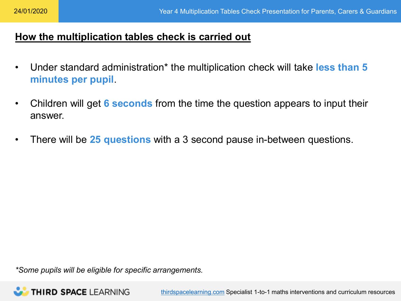#### **How the multiplication tables check is carried out**

- Under standard administration\* the multiplication check will take **less than 5 minutes per pupil**.
- Children will get **6 seconds** from the time the question appears to input their answer.
- There will be **25 questions** with a 3 second pause in-between questions.

*\*Some pupils will be eligible for specific arrangements.* 

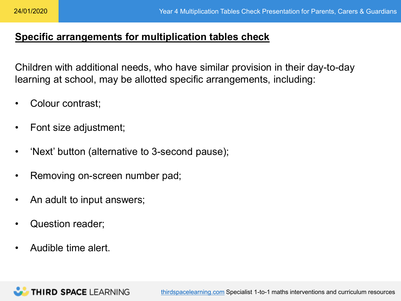## **Specific arrangements for multiplication tables check**

Children with additional needs, who have similar provision in their day-to-day learning at school, may be allotted specific arrangements, including:

- Colour contrast;
- Font size adjustment;
- 'Next' button (alternative to 3-second pause);
- Removing on-screen number pad;
- An adult to input answers;

**THIRD SPACE LEARNING** 

- Question reader;
- Audible time alert.

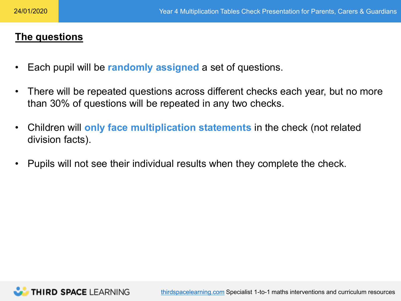# **The questions**

- Each pupil will be **randomly assigned** a set of questions.
- There will be repeated questions across different checks each year, but no more than 30% of questions will be repeated in any two checks.
- Children will **only face multiplication statements** in the check (not related division facts).
- Pupils will not see their individual results when they complete the check.

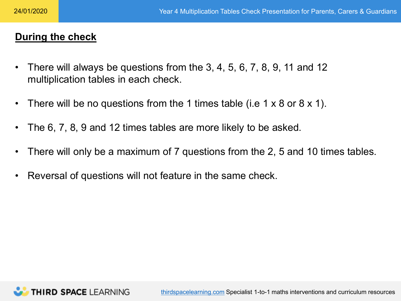### **During the check**

- There will always be questions from the 3, 4, 5, 6, 7, 8, 9, 11 and 12 multiplication tables in each check.
- There will be no questions from the 1 times table (i.e  $1 \times 8$  or  $8 \times 1$ ).
- The 6, 7, 8, 9 and 12 times tables are more likely to be asked.
- There will only be a maximum of 7 questions from the 2, 5 and 10 times tables.
- Reversal of questions will not feature in the same check.

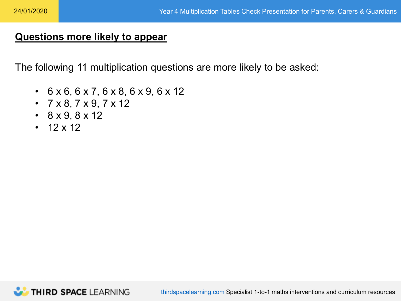#### **Questions more likely to appear**

The following 11 multiplication questions are more likely to be asked:

- 6 x 6, 6 x 7, 6 x 8, 6 x 9, 6 x 12
- $7 \times 8, 7 \times 9, 7 \times 12$
- $\cdot$  8 x 9, 8 x 12
- $12 \times 12$

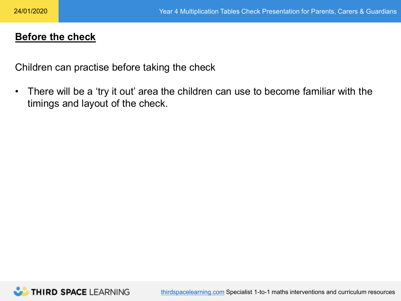#### **Before the check**

Children can practise before taking the check

• There will be a 'try it out' area the children can use to become familiar with the timings and layout of the check.

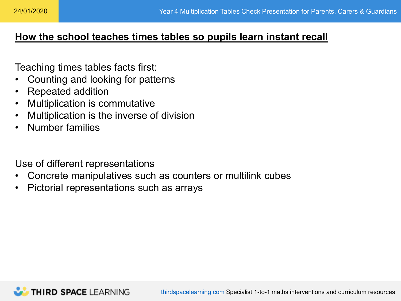#### **How the school teaches times tables so pupils learn instant recall**

Teaching times tables facts first:

- Counting and looking for patterns
- Repeated addition
- Multiplication is commutative
- Multiplication is the inverse of division
- Number families

Use of different representations

- Concrete manipulatives such as counters or multilink cubes
- Pictorial representations such as arrays

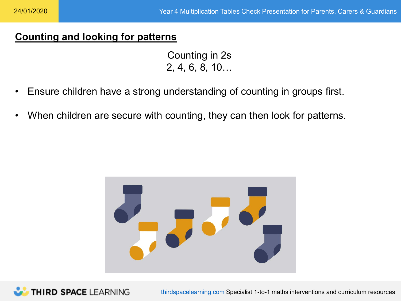## **Counting and looking for patterns**

Counting in 2s 2, 4, 6, 8, 10…

- Ensure children have a strong understanding of counting in groups first.
- When children are secure with counting, they can then look for patterns.



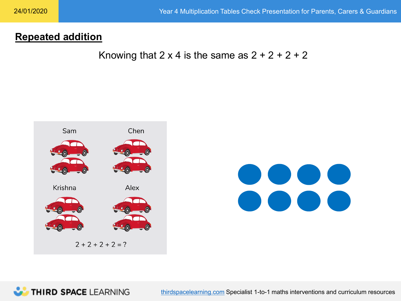### **Repeated addition**

Knowing that  $2 \times 4$  is the same as  $2 + 2 + 2 + 2$ 





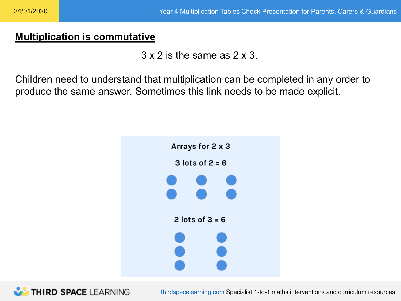#### **Multiplication is commutative**

 $3 \times 2$  is the same as  $2 \times 3$ .

Children need to understand that multiplication can be completed in any order to produce the same answer. Sometimes this link needs to be made explicit.



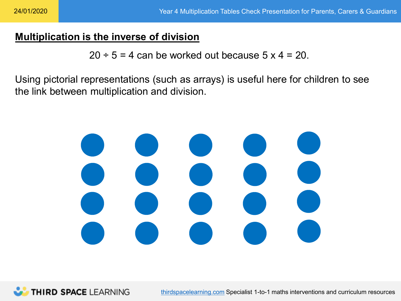#### **Multiplication is the inverse of division**

 $20 \div 5 = 4$  can be worked out because  $5 \times 4 = 20$ .

Using pictorial representations (such as arrays) is useful here for children to see the link between multiplication and division.



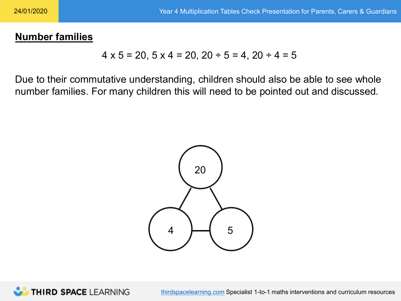#### **Number families**

$$
4 \times 5 = 20
$$
,  $5 \times 4 = 20$ ,  $20 \div 5 = 4$ ,  $20 \div 4 = 5$ 

Due to their commutative understanding, children should also be able to see whole number families. For many children this will need to be pointed out and discussed.



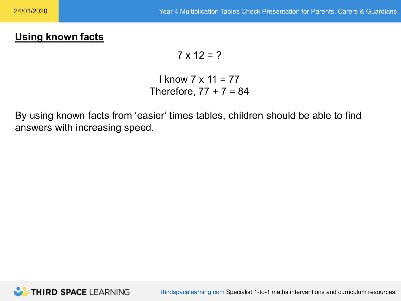# **Using known facts**

$$
7 \times 12 = ?
$$

## I know 7 x 11 = 77 Therefore,  $77 + 7 = 84$

By using known facts from 'easier' times tables, children should be able to find answers with increasing speed.

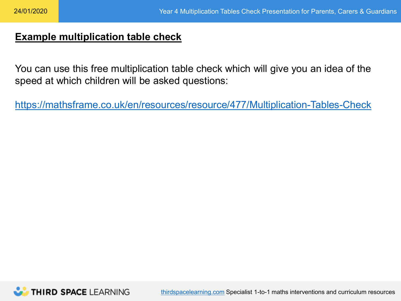#### **Example multiplication table check**

You can use this free multiplication table check which will give you an idea of the speed at which children will be asked questions:

<https://mathsframe.co.uk/en/resources/resource/477/Multiplication-Tables-Check>

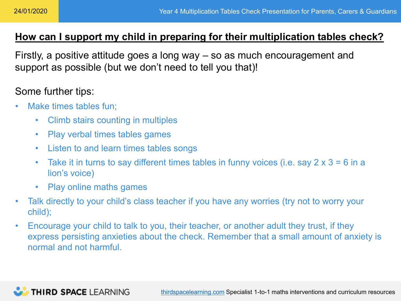# **How can I support my child in preparing for their multiplication tables check?**

Firstly, a positive attitude goes a long way – so as much encouragement and support as possible (but we don't need to tell you that)!

## Some further tips:

- Make times tables fun:
	- Climb stairs counting in multiples
	- Play verbal times tables games
	- Listen to and learn times tables songs
	- Take it in turns to say different times tables in funny voices (i.e. say  $2 \times 3 = 6$  in a lion's voice)
	- Play online maths games
- Talk directly to your child's class teacher if you have any worries (try not to worry your child);
- Encourage your child to talk to you, their teacher, or another adult they trust, if they express persisting anxieties about the check. Remember that a small amount of anxiety is normal and not harmful.